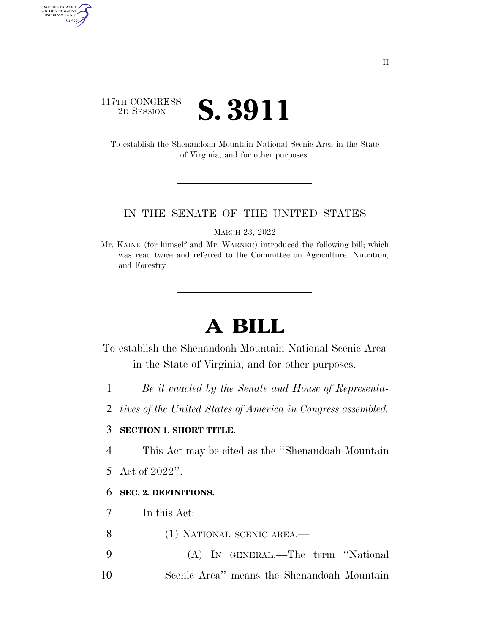# 117TH CONGRESS <sup>TH CONGRESS</sup> **S. 3911**

AUTHENTICATED<br>U.S. GOVERNMENT<br>INFORMATION GPO

> To establish the Shenandoah Mountain National Scenic Area in the State of Virginia, and for other purposes.

### IN THE SENATE OF THE UNITED STATES

MARCH 23, 2022

Mr. KAINE (for himself and Mr. WARNER) introduced the following bill; which was read twice and referred to the Committee on Agriculture, Nutrition, and Forestry

# **A BILL**

To establish the Shenandoah Mountain National Scenic Area in the State of Virginia, and for other purposes.

- 1 *Be it enacted by the Senate and House of Representa-*
- 2 *tives of the United States of America in Congress assembled,*

# 3 **SECTION 1. SHORT TITLE.**

4 This Act may be cited as the ''Shenandoah Mountain

5 Act of 2022''.

# 6 **SEC. 2. DEFINITIONS.**

- 7 In this Act:
- 8 (1) NATIONAL SCENIC AREA.—
- 9 (A) IN GENERAL.—The term ''National 10 Scenic Area'' means the Shenandoah Mountain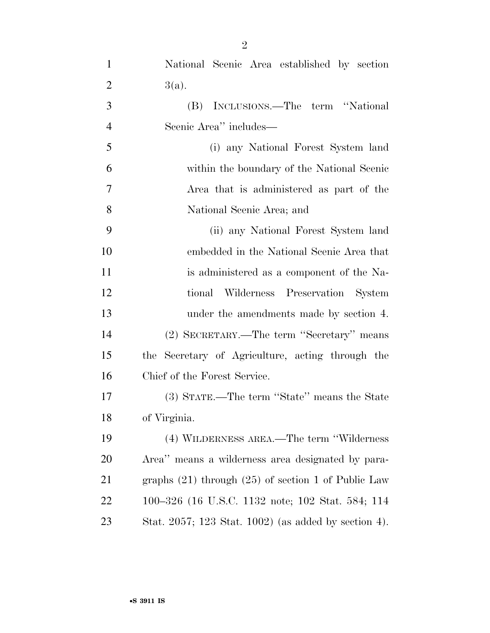| $\mathbf{1}$   | National Scenic Area established by section             |
|----------------|---------------------------------------------------------|
| $\overline{2}$ | $3(a)$ .                                                |
| 3              | (B) INCLUSIONS.—The term "National                      |
| $\overline{4}$ | Scenic Area'' includes—                                 |
| 5              | (i) any National Forest System land                     |
| 6              | within the boundary of the National Scenic              |
| 7              | Area that is administered as part of the                |
| 8              | National Scenic Area; and                               |
| 9              | (ii) any National Forest System land                    |
| 10             | embedded in the National Scenic Area that               |
| 11             | is administered as a component of the Na-               |
| 12             | tional Wilderness Preservation System                   |
| 13             | under the amendments made by section 4.                 |
| 14             | (2) SECRETARY.—The term "Secretary" means               |
| 15             | the Secretary of Agriculture, acting through the        |
| 16             | Chief of the Forest Service.                            |
| 17             | (3) STATE.—The term "State" means the State             |
| 18             | of Virginia.                                            |
| 19             | (4) WILDERNESS AREA.—The term "Wilderness"              |
| <b>20</b>      | Area" means a wilderness area designated by para-       |
| 21             | graphs $(21)$ through $(25)$ of section 1 of Public Law |
| 22             | 100–326 (16 U.S.C. 1132 note; 102 Stat. 584; 114        |
| 23             | Stat. 2057; 123 Stat. 1002) (as added by section 4).    |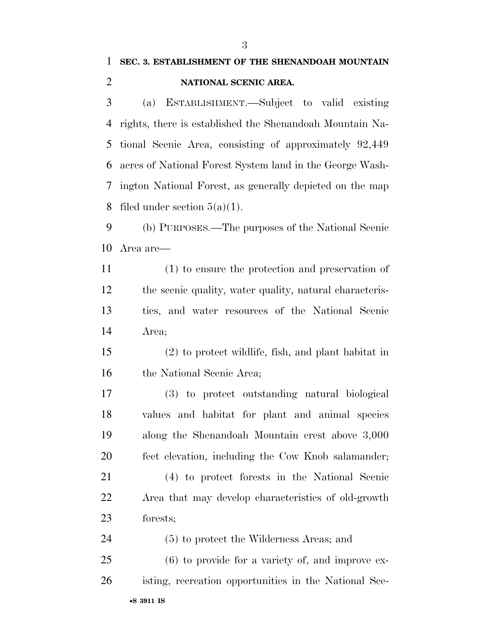(a) ESTABLISHMENT.—Subject to valid existing rights, there is established the Shenandoah Mountain Na- tional Scenic Area, consisting of approximately 92,449 acres of National Forest System land in the George Wash- ington National Forest, as generally depicted on the map 8 filed under section  $5(a)(1)$ .

 (b) PURPOSES.—The purposes of the National Scenic Area are—

 (1) to ensure the protection and preservation of the scenic quality, water quality, natural characteris- tics, and water resources of the National Scenic Area;

 (2) to protect wildlife, fish, and plant habitat in 16 the National Scenic Area;

 (3) to protect outstanding natural biological values and habitat for plant and animal species along the Shenandoah Mountain crest above 3,000 feet elevation, including the Cow Knob salamander;

 (4) to protect forests in the National Scenic Area that may develop characteristics of old-growth forests;

 (5) to protect the Wilderness Areas; and (6) to provide for a variety of, and improve ex-

•**S 3911 IS** isting, recreation opportunities in the National Sce-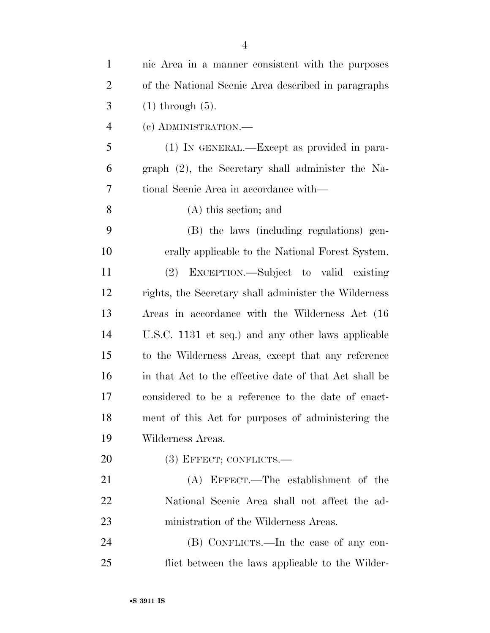| $\mathbf{1}$   | nic Area in a manner consistent with the purposes      |
|----------------|--------------------------------------------------------|
| $\overline{2}$ | of the National Scenic Area described in paragraphs    |
| 3              | $(1)$ through $(5)$ .                                  |
| 4              | (c) ADMINISTRATION.—                                   |
| 5              | (1) IN GENERAL.—Except as provided in para-            |
| 6              | graph $(2)$ , the Secretary shall administer the Na-   |
| $\overline{7}$ | tional Scenic Area in accordance with—                 |
| 8              | $(A)$ this section; and                                |
| 9              | (B) the laws (including regulations) gen-              |
| 10             | erally applicable to the National Forest System.       |
| 11             | EXCEPTION.—Subject to valid existing<br>(2)            |
| 12             | rights, the Secretary shall administer the Wilderness  |
| 13             | Areas in accordance with the Wilderness Act (16)       |
| 14             | U.S.C. 1131 et seq.) and any other laws applicable     |
| 15             | to the Wilderness Areas, except that any reference     |
| 16             | in that Act to the effective date of that Act shall be |
| 17             | considered to be a reference to the date of enact-     |
| 18             | ment of this Act for purposes of administering the     |
| 19             | Wilderness Areas.                                      |
| 20             | $(3)$ EFFECT; CONFLICTS.—                              |
| 21             | (A) EFFECT.—The establishment of the                   |
| 22             | National Scenic Area shall not affect the ad-          |
| 23             | ministration of the Wilderness Areas.                  |
| 24             | (B) CONFLICTS.—In the case of any con-                 |
| 25             | flict between the laws applicable to the Wilder-       |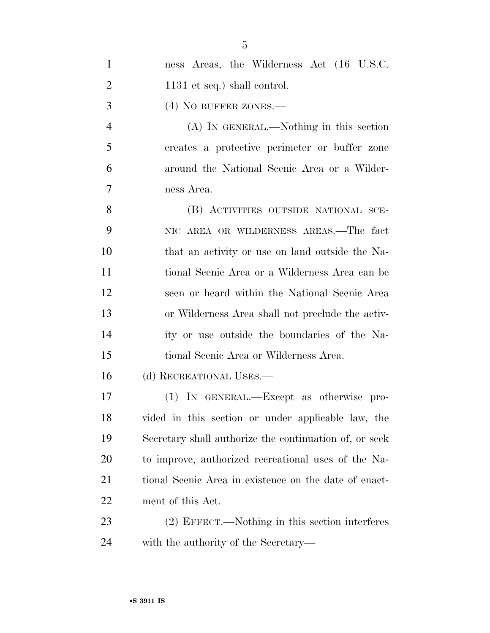| $\mathbf{1}$   | ness Areas, the Wilderness Act (16 U.S.C.              |
|----------------|--------------------------------------------------------|
| $\overline{2}$ | $1131$ et seq.) shall control.                         |
| 3              | $(4)$ No buffer zones.—                                |
| $\overline{4}$ | (A) IN GENERAL.—Nothing in this section                |
| 5              | creates a protective perimeter or buffer zone          |
| 6              | around the National Scenic Area or a Wilder-           |
| 7              | ness Area.                                             |
| 8              | (B) ACTIVITIES OUTSIDE NATIONAL SCE-                   |
| 9              | NIC AREA OR WILDERNESS AREAS.—The fact                 |
| 10             | that an activity or use on land outside the Na-        |
| 11             | tional Scenic Area or a Wilderness Area can be         |
| 12             | seen or heard within the National Scenic Area          |
| 13             | or Wilderness Area shall not preclude the activ-       |
| 14             | ity or use outside the boundaries of the Na-           |
| 15             | tional Scenic Area or Wilderness Area.                 |
| 16             | (d) RECREATIONAL USES.—                                |
| 17             | (1) IN GENERAL.—Except as otherwise pro-               |
| 18             | vided in this section or under applicable law, the     |
| 19             | Secretary shall authorize the continuation of, or seek |
| 20             | to improve, authorized recreational uses of the Na-    |
| 21             | tional Scenic Area in existence on the date of enact-  |
| 22             | ment of this Act.                                      |
| 23             | (2) EFFECT.—Nothing in this section interferes         |
| 24             | with the authority of the Secretary—                   |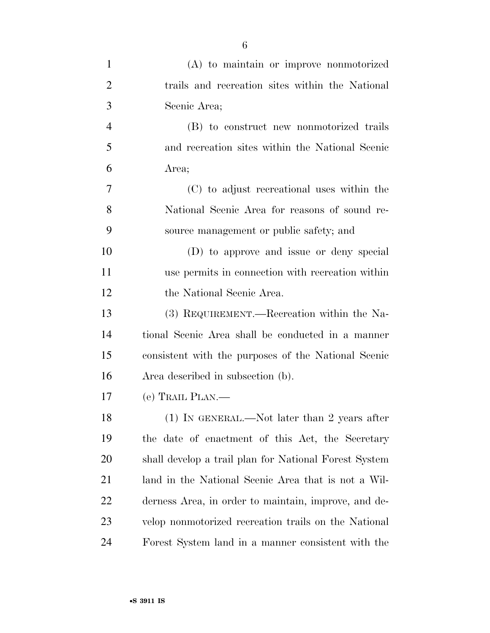| $\mathbf{1}$   | $(A)$ to maintain or improve nonmotorized             |
|----------------|-------------------------------------------------------|
| $\overline{2}$ | trails and recreation sites within the National       |
| 3              | Scenic Area;                                          |
| $\overline{4}$ | (B) to construct new nonmotorized trails              |
| 5              | and recreation sites within the National Scenic       |
| 6              | Area;                                                 |
| 7              | (C) to adjust recreational uses within the            |
| 8              | National Scenic Area for reasons of sound re-         |
| 9              | source management or public safety; and               |
| 10             | (D) to approve and issue or deny special              |
| 11             | use permits in connection with recreation within      |
| 12             | the National Scenic Area.                             |
| 13             | (3) REQUIREMENT.—Recreation within the Na-            |
| 14             | tional Scenic Area shall be conducted in a manner     |
| 15             | consistent with the purposes of the National Scenic   |
| 16             | Area described in subsection (b).                     |
| 17             | (e) TRAIL PLAN.—                                      |
| 18             | (1) IN GENERAL.—Not later than 2 years after          |
| 19             | the date of enactment of this Act, the Secretary      |
| 20             | shall develop a trail plan for National Forest System |
| 21             | land in the National Scenic Area that is not a Wil-   |
| 22             | derness Area, in order to maintain, improve, and de-  |
| 23             | velop nonmotorized recreation trails on the National  |
| 24             | Forest System land in a manner consistent with the    |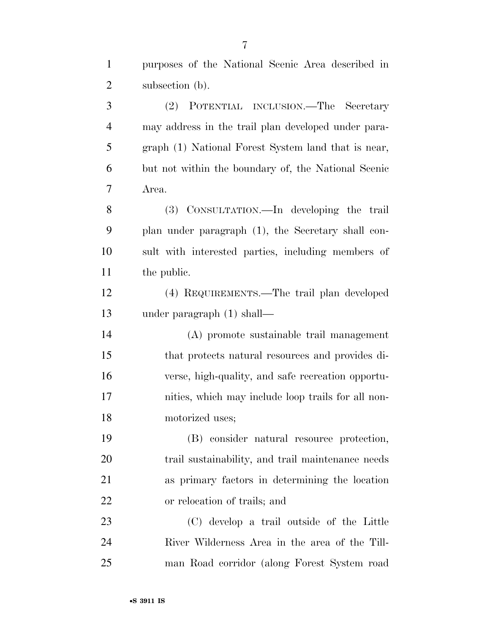| $\mathbf{1}$   | purposes of the National Scenic Area described in   |
|----------------|-----------------------------------------------------|
| $\overline{c}$ | subsection (b).                                     |
| 3              | (2) POTENTIAL INCLUSION.—The Secretary              |
| $\overline{4}$ | may address in the trail plan developed under para- |
| 5              | graph (1) National Forest System land that is near, |
| 6              | but not within the boundary of, the National Scenic |
| 7              | Area.                                               |
| 8              | (3) CONSULTATION.—In developing the trail           |
| 9              | plan under paragraph (1), the Secretary shall con-  |
| 10             | sult with interested parties, including members of  |
| 11             | the public.                                         |
| 12             | (4) REQUIREMENTS.—The trail plan developed          |
| 13             | under paragraph $(1)$ shall—                        |
| 14             | (A) promote sustainable trail management            |
| 15             | that protects natural resources and provides di-    |
| 16             | verse, high-quality, and safe recreation opportu-   |
| 17             | nities, which may include loop trails for all non-  |
| 18             | motorized uses;                                     |
| 19             | (B) consider natural resource protection,           |
| 20             | trail sustainability, and trail maintenance needs   |
| 21             | as primary factors in determining the location      |
| 22             | or relocation of trails; and                        |
| 23             | (C) develop a trail outside of the Little           |
| 24             | River Wilderness Area in the area of the Till-      |
| 25             | man Road corridor (along Forest System road         |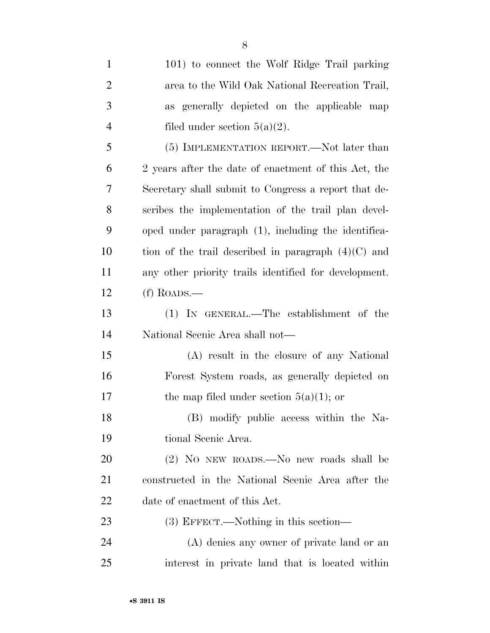| $\mathbf{1}$   | 101) to connect the Wolf Ridge Trail parking          |
|----------------|-------------------------------------------------------|
| $\overline{2}$ | area to the Wild Oak National Recreation Trail,       |
| 3              | as generally depicted on the applicable map           |
| $\overline{4}$ | filed under section $5(a)(2)$ .                       |
| 5              | (5) IMPLEMENTATION REPORT.—Not later than             |
| 6              | 2 years after the date of enactment of this Act, the  |
| 7              | Secretary shall submit to Congress a report that de-  |
| 8              | scribes the implementation of the trail plan devel-   |
| 9              | oped under paragraph (1), including the identifica-   |
| 10             | tion of the trail described in paragraph $(4)(C)$ and |
| 11             | any other priority trails identified for development. |
| 12             | $(f)$ ROADS.—                                         |
| 13             | (1) IN GENERAL.—The establishment of the              |
| 14             | National Scenic Area shall not—                       |
| 15             | (A) result in the closure of any National             |
| 16             | Forest System roads, as generally depicted on         |
| 17             | the map filed under section $5(a)(1)$ ; or            |
| 18             | (B) modify public access within the Na-               |
| 19             | tional Scenic Area.                                   |
| 20             | (2) NO NEW ROADS.—No new roads shall be               |
| 21             | constructed in the National Scenic Area after the     |
| 22             | date of enactment of this Act.                        |
| 23             | $(3)$ EFFECT.—Nothing in this section—                |
| 24             | (A) denies any owner of private land or an            |
| 25             | interest in private land that is located within       |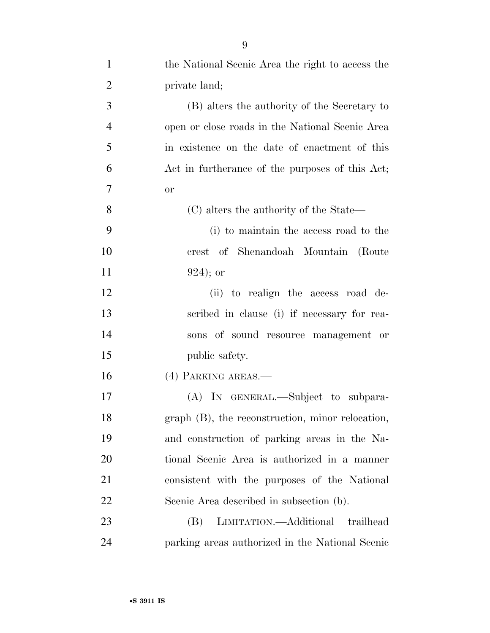| $\mathbf{1}$   | the National Scenic Area the right to access the   |
|----------------|----------------------------------------------------|
| $\overline{2}$ | private land;                                      |
| 3              | (B) alters the authority of the Secretary to       |
| $\overline{4}$ | open or close roads in the National Scenic Area    |
| 5              | in existence on the date of enactment of this      |
| 6              | Act in furtherance of the purposes of this Act;    |
| 7              | or                                                 |
| 8              | (C) alters the authority of the State—             |
| 9              | (i) to maintain the access road to the             |
| 10             | crest of Shenandoah Mountain (Route                |
| 11             | $924$ ; or                                         |
| 12             | (ii) to realign the access road de-                |
| 13             | scribed in clause (i) if necessary for rea-        |
| 14             | sons of sound resource management or               |
| 15             | public safety.                                     |
| 16             | (4) PARKING AREAS.—                                |
| 17             | (A) IN GENERAL.—Subject to subpara-                |
| 18             | $graph$ (B), the reconstruction, minor relocation, |
| 19             | and construction of parking areas in the Na-       |
| 20             | tional Scenic Area is authorized in a manner       |
| 21             | consistent with the purposes of the National       |
| 22             | Scenic Area described in subsection (b).           |
| 23             | LIMITATION.—Additional trailhead<br>(B)            |
| 24             | parking areas authorized in the National Scenic    |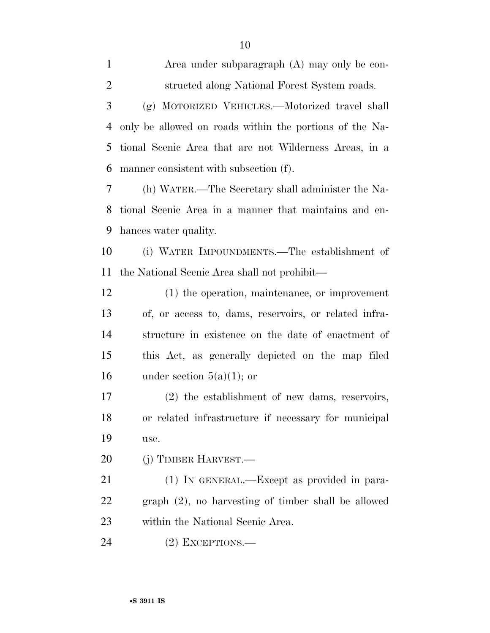Area under subparagraph (A) may only be con- structed along National Forest System roads. (g) MOTORIZED VEHICLES.—Motorized travel shall

 only be allowed on roads within the portions of the Na- tional Scenic Area that are not Wilderness Areas, in a manner consistent with subsection (f).

 (h) WATER.—The Secretary shall administer the Na- tional Scenic Area in a manner that maintains and en-hances water quality.

 (i) WATER IMPOUNDMENTS.—The establishment of the National Scenic Area shall not prohibit—

 (1) the operation, maintenance, or improvement of, or access to, dams, reservoirs, or related infra- structure in existence on the date of enactment of this Act, as generally depicted on the map filed 16 under section  $5(a)(1)$ ; or

 (2) the establishment of new dams, reservoirs, or related infrastructure if necessary for municipal use.

(j) TIMBER HARVEST.—

 (1) IN GENERAL.—Except as provided in para- graph (2), no harvesting of timber shall be allowed within the National Scenic Area.

(2) EXCEPTIONS.—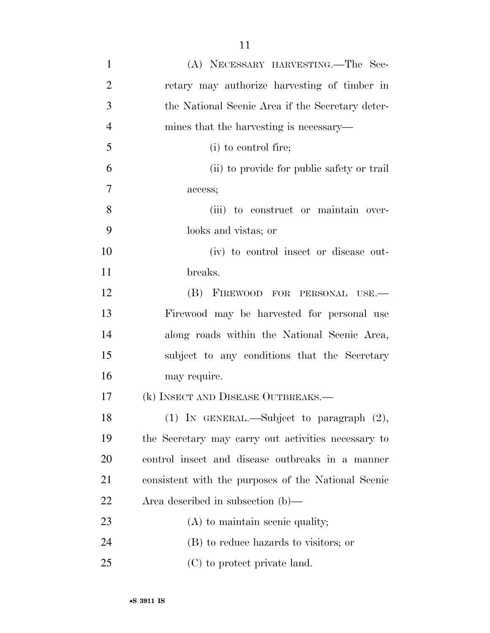| $\mathbf{1}$   | (A) NECESSARY HARVESTING.—The Sec-                  |
|----------------|-----------------------------------------------------|
| $\overline{2}$ | retary may authorize harvesting of timber in        |
| 3              | the National Scenic Area if the Secretary deter-    |
| $\overline{4}$ | mines that the harvesting is necessary—             |
| 5              | (i) to control fire;                                |
| 6              | (ii) to provide for public safety or trail          |
| 7              | access;                                             |
| 8              | (iii) to construct or maintain over-                |
| 9              | looks and vistas; or                                |
| 10             | (iv) to control insect or disease out-              |
| 11             | breaks.                                             |
| 12             | (B) FIREWOOD FOR PERSONAL USE.-                     |
| 13             | Firewood may be harvested for personal use          |
| 14             | along roads within the National Scenic Area,        |
| 15             | subject to any conditions that the Secretary        |
| 16             | may require.                                        |
| 17             | (k) INSECT AND DISEASE OUTBREAKS.—                  |
| 18             | $(1)$ IN GENERAL.—Subject to paragraph $(2)$ ,      |
| 19             | the Secretary may carry out activities necessary to |
| 20             | control insect and disease outbreaks in a manner    |
| 21             | consistent with the purposes of the National Scenic |
| 22             | Area described in subsection $(b)$ —                |
| 23             | $(A)$ to maintain scenic quality;                   |
| 24             | (B) to reduce hazards to visitors; or               |
| 25             | (C) to protect private land.                        |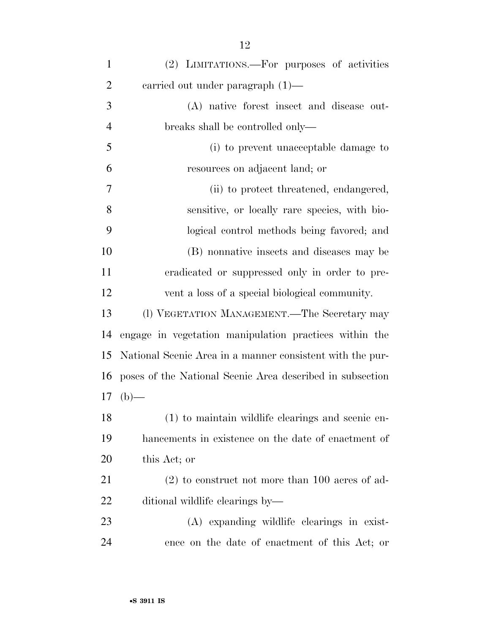| $\mathbf{1}$   | (2) LIMITATIONS.—For purposes of activities               |
|----------------|-----------------------------------------------------------|
| $\overline{2}$ | carried out under paragraph $(1)$ —                       |
| 3              | (A) native forest insect and disease out-                 |
| $\overline{4}$ | breaks shall be controlled only—                          |
| 5              | (i) to prevent unacceptable damage to                     |
| 6              | resources on adjacent land; or                            |
| 7              | (ii) to protect threatened, endangered,                   |
| 8              | sensitive, or locally rare species, with bio-             |
| 9              | logical control methods being favored; and                |
| 10             | (B) nonnative insects and diseases may be                 |
| 11             | eradicated or suppressed only in order to pre-            |
| 12             | vent a loss of a special biological community.            |
| 13             | (1) VEGETATION MANAGEMENT.—The Secretary may              |
| 14             | engage in vegetation manipulation practices within the    |
| 15             | National Scenic Area in a manner consistent with the pur- |
| 16             | poses of the National Scenic Area described in subsection |
| 17             | $(b)$ —                                                   |
| 18             | (1) to maintain wildlife clearings and scenic en-         |
| 19             | hancements in existence on the date of enactment of       |
| 20             | this Act; or                                              |
| 21             | $(2)$ to construct not more than 100 acres of ad-         |
| 22             | ditional wildlife clearings by—                           |
| 23             | (A) expanding wildlife clearings in exist-                |
| 24             | ence on the date of enactment of this Act; or             |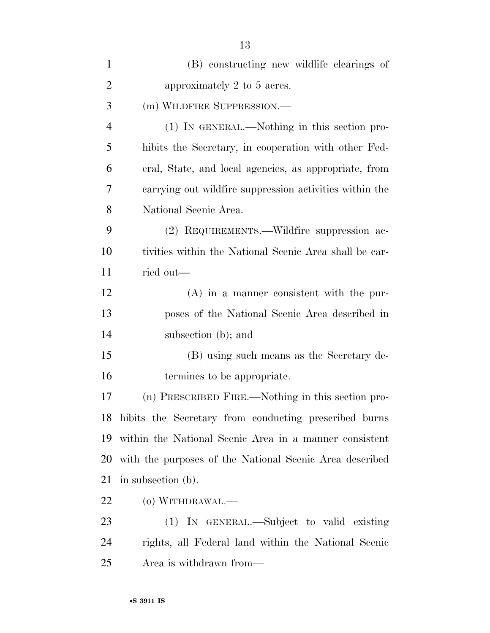| $\mathbf{1}$   | (B) constructing new wildlife clearings of               |
|----------------|----------------------------------------------------------|
| $\overline{2}$ | approximately 2 to 5 acres.                              |
| 3              | (m) WILDFIRE SUPPRESSION.-                               |
| $\overline{4}$ | $(1)$ IN GENERAL.—Nothing in this section pro-           |
| 5              | hibits the Secretary, in cooperation with other Fed-     |
| 6              | eral, State, and local agencies, as appropriate, from    |
| 7              | carrying out wildfire suppression activities within the  |
| 8              | National Scenic Area.                                    |
| 9              | (2) REQUIREMENTS.—Wildfire suppression ac-               |
| 10             | tivities within the National Scenic Area shall be car-   |
| 11             | ried out—                                                |
| 12             | $(A)$ in a manner consistent with the pur-               |
| 13             | poses of the National Scenic Area described in           |
| 14             | subsection (b); and                                      |
| 15             | (B) using such means as the Secretary de-                |
| 16             | termines to be appropriate.                              |
| 17             | (n) PRESCRIBED FIRE.—Nothing in this section pro-        |
|                | 18 hibits the Secretary from conducting prescribed burns |
| 19             | within the National Scenic Area in a manner consistent   |
| 20             | with the purposes of the National Scenic Area described  |
| 21             | in subsection (b).                                       |
| 22             | $(o)$ WITHDRAWAL.—                                       |
| 23             | (1) IN GENERAL.—Subject to valid existing                |
| 24             | rights, all Federal land within the National Scenic      |
| 25             | Area is withdrawn from—                                  |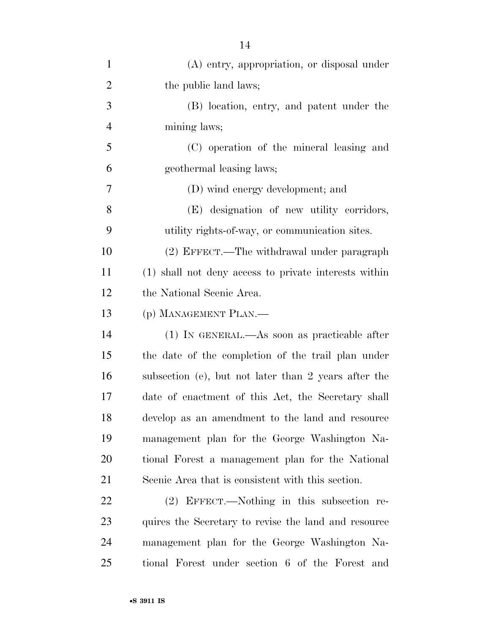| $\mathbf{1}$   | (A) entry, appropriation, or disposal under           |
|----------------|-------------------------------------------------------|
| $\overline{2}$ | the public land laws;                                 |
| 3              | (B) location, entry, and patent under the             |
| $\overline{4}$ | mining laws;                                          |
| 5              | (C) operation of the mineral leasing and              |
| 6              | geothermal leasing laws;                              |
| 7              | (D) wind energy development; and                      |
| 8              | (E) designation of new utility corridors,             |
| 9              | utility rights-of-way, or communication sites.        |
| 10             | (2) EFFECT.—The withdrawal under paragraph            |
| 11             | (1) shall not deny access to private interests within |
| 12             | the National Scenic Area.                             |
| 13             | (p) MANAGEMENT PLAN.—                                 |
| 14             | $(1)$ In GENERAL.—As soon as practicable after        |
| 15             | the date of the completion of the trail plan under    |
| 16             | subsection (e), but not later than 2 years after the  |
| 17             | date of enactment of this Act, the Secretary shall    |
| 18             | develop as an amendment to the land and resource      |
| 19             | management plan for the George Washington Na-         |
| 20             | tional Forest a management plan for the National      |
| 21             | Scenic Area that is consistent with this section.     |
| 22             | (2) EFFECT.—Nothing in this subsection re-            |
| 23             | quires the Secretary to revise the land and resource  |
| 24             | management plan for the George Washington Na-         |
| 25             | tional Forest under section 6 of the Forest and       |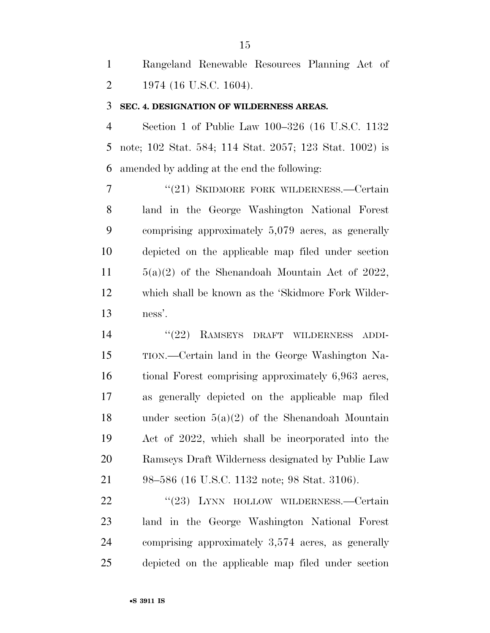Rangeland Renewable Resources Planning Act of 2 1974 (16 U.S.C. 1604).

#### **SEC. 4. DESIGNATION OF WILDERNESS AREAS.**

 Section 1 of Public Law 100–326 (16 U.S.C. 1132 note; 102 Stat. 584; 114 Stat. 2057; 123 Stat. 1002) is amended by adding at the end the following:

7 "(21) SKIDMORE FORK WILDERNESS.—Certain land in the George Washington National Forest comprising approximately 5,079 acres, as generally depicted on the applicable map filed under section  $5(a)(2)$  of the Shenandoah Mountain Act of 2022, which shall be known as the 'Skidmore Fork Wilder-ness'.

14 ''(22) RAMSEYS DRAFT WILDERNESS ADDI- TION.—Certain land in the George Washington Na- tional Forest comprising approximately 6,963 acres, as generally depicted on the applicable map filed under section 5(a)(2) of the Shenandoah Mountain Act of 2022, which shall be incorporated into the Ramseys Draft Wilderness designated by Public Law 98–586 (16 U.S.C. 1132 note; 98 Stat. 3106).

22 "(23) LYNN HOLLOW WILDERNESS.—Certain land in the George Washington National Forest comprising approximately 3,574 acres, as generally depicted on the applicable map filed under section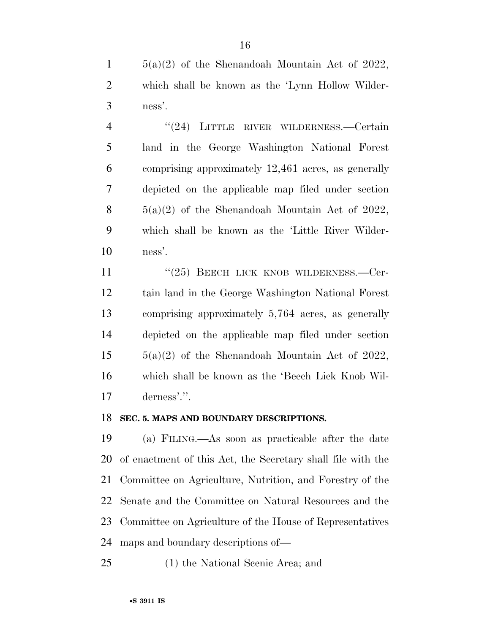$1 \qquad 5(a)(2)$  of the Shenandoah Mountain Act of 2022, which shall be known as the 'Lynn Hollow Wilder-ness'.

 ''(24) LITTLE RIVER WILDERNESS.—Certain land in the George Washington National Forest comprising approximately 12,461 acres, as generally depicted on the applicable map filed under section  $5(a)(2)$  of the Shenandoah Mountain Act of 2022, which shall be known as the 'Little River Wilder-ness'.

11 "(25) BEECH LICK KNOB WILDERNESS.—Cer- tain land in the George Washington National Forest comprising approximately 5,764 acres, as generally depicted on the applicable map filed under section  $15 \qquad 5(a)(2)$  of the Shenandoah Mountain Act of 2022, which shall be known as the 'Beech Lick Knob Wil-derness'.''.

### **SEC. 5. MAPS AND BOUNDARY DESCRIPTIONS.**

 (a) FILING.—As soon as practicable after the date of enactment of this Act, the Secretary shall file with the Committee on Agriculture, Nutrition, and Forestry of the Senate and the Committee on Natural Resources and the Committee on Agriculture of the House of Representatives maps and boundary descriptions of—

(1) the National Scenic Area; and